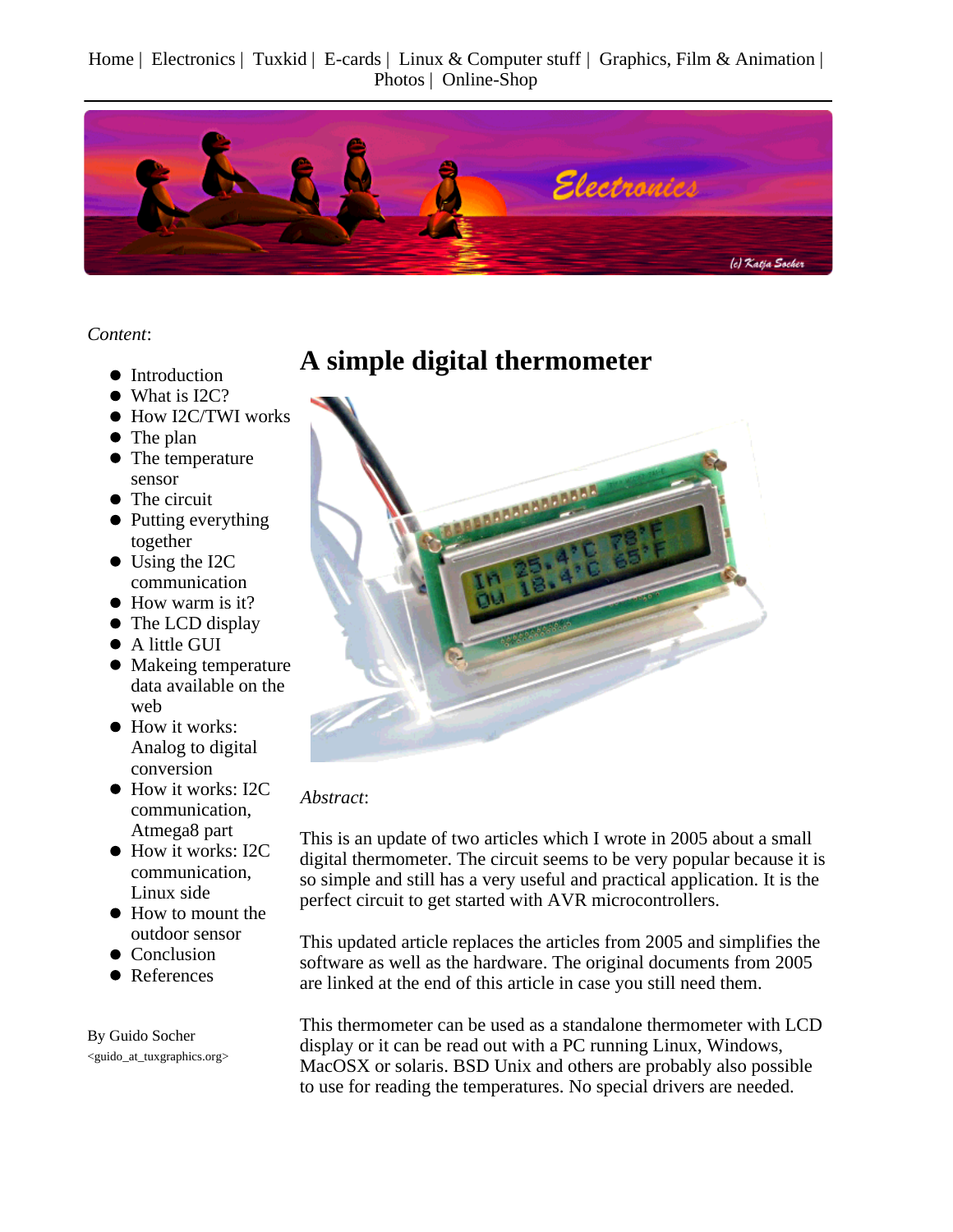Home | Electronics | Tuxkid | E-cards | Linux & Computer stuff | Graphics, Film & Animation | Photos | Online-Shop



*Content*:

- Introduction
- What is I2C?
- How I2C/TWI works
- The plan
- The temperature sensor
- The circuit
- Putting everything together
- Using the I2C communication
- How warm is it?
- The LCD display
- A little GUI
- Makeing temperature data available on the web
- How it works: Analog to digital conversion
- $\bullet$  How it works: I2C communication, Atmega8 part
- How it works: I2C communication, Linux side
- How to mount the outdoor sensor
- Conclusion
- References

By Guido Socher <guido\_at\_tuxgraphics.org>

### **A simple digital thermometer**



#### *Abstract*:

This is an update of two articles which I wrote in 2005 about a small digital thermometer. The circuit seems to be very popular because it is so simple and still has a very useful and practical application. It is the perfect circuit to get started with AVR microcontrollers.

This updated article replaces the articles from 2005 and simplifies the software as well as the hardware. The original documents from 2005 are linked at the end of this article in case you still need them.

This thermometer can be used as a standalone thermometer with LCD display or it can be read out with a PC running Linux, Windows, MacOSX or solaris. BSD Unix and others are probably also possible to use for reading the temperatures. No special drivers are needed.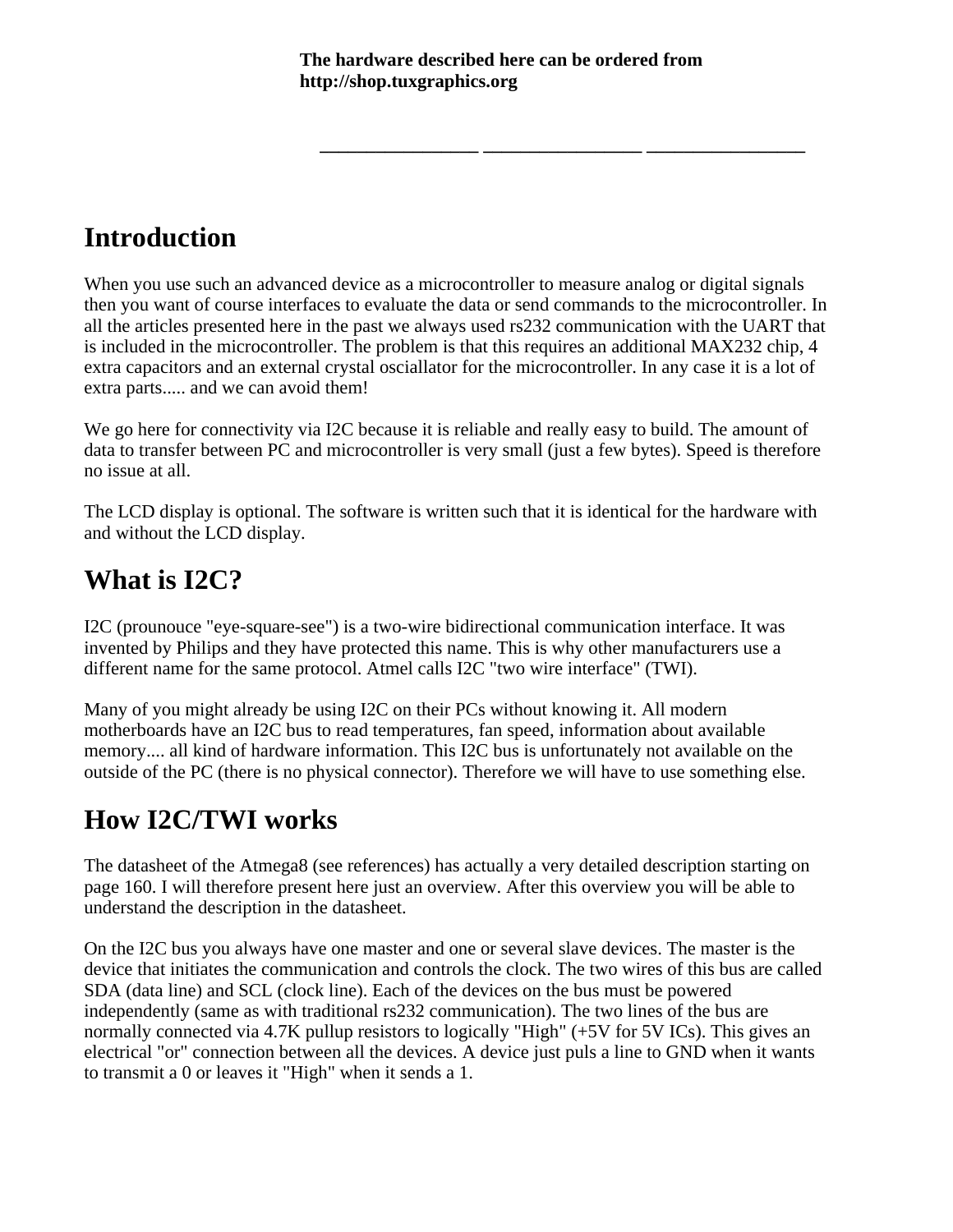**\_\_\_\_\_\_\_\_\_\_\_\_\_\_\_\_\_ \_\_\_\_\_\_\_\_\_\_\_\_\_\_\_\_\_ \_\_\_\_\_\_\_\_\_\_\_\_\_\_\_\_\_**

# **Introduction**

When you use such an advanced device as a microcontroller to measure analog or digital signals then you want of course interfaces to evaluate the data or send commands to the microcontroller. In all the articles presented here in the past we always used rs232 communication with the UART that is included in the microcontroller. The problem is that this requires an additional MAX232 chip, 4 extra capacitors and an external crystal osciallator for the microcontroller. In any case it is a lot of extra parts..... and we can avoid them!

We go here for connectivity via I2C because it is reliable and really easy to build. The amount of data to transfer between PC and microcontroller is very small (just a few bytes). Speed is therefore no issue at all.

The LCD display is optional. The software is written such that it is identical for the hardware with and without the LCD display.

### **What is I2C?**

I2C (prounouce "eye-square-see") is a two-wire bidirectional communication interface. It was invented by Philips and they have protected this name. This is why other manufacturers use a different name for the same protocol. Atmel calls I2C "two wire interface" (TWI).

Many of you might already be using I2C on their PCs without knowing it. All modern motherboards have an I2C bus to read temperatures, fan speed, information about available memory.... all kind of hardware information. This I2C bus is unfortunately not available on the outside of the PC (there is no physical connector). Therefore we will have to use something else.

# **How I2C/TWI works**

The datasheet of the Atmega8 (see references) has actually a very detailed description starting on page 160. I will therefore present here just an overview. After this overview you will be able to understand the description in the datasheet.

On the I2C bus you always have one master and one or several slave devices. The master is the device that initiates the communication and controls the clock. The two wires of this bus are called SDA (data line) and SCL (clock line). Each of the devices on the bus must be powered independently (same as with traditional rs232 communication). The two lines of the bus are normally connected via 4.7K pullup resistors to logically "High" (+5V for 5V ICs). This gives an electrical "or" connection between all the devices. A device just puls a line to GND when it wants to transmit a 0 or leaves it "High" when it sends a 1.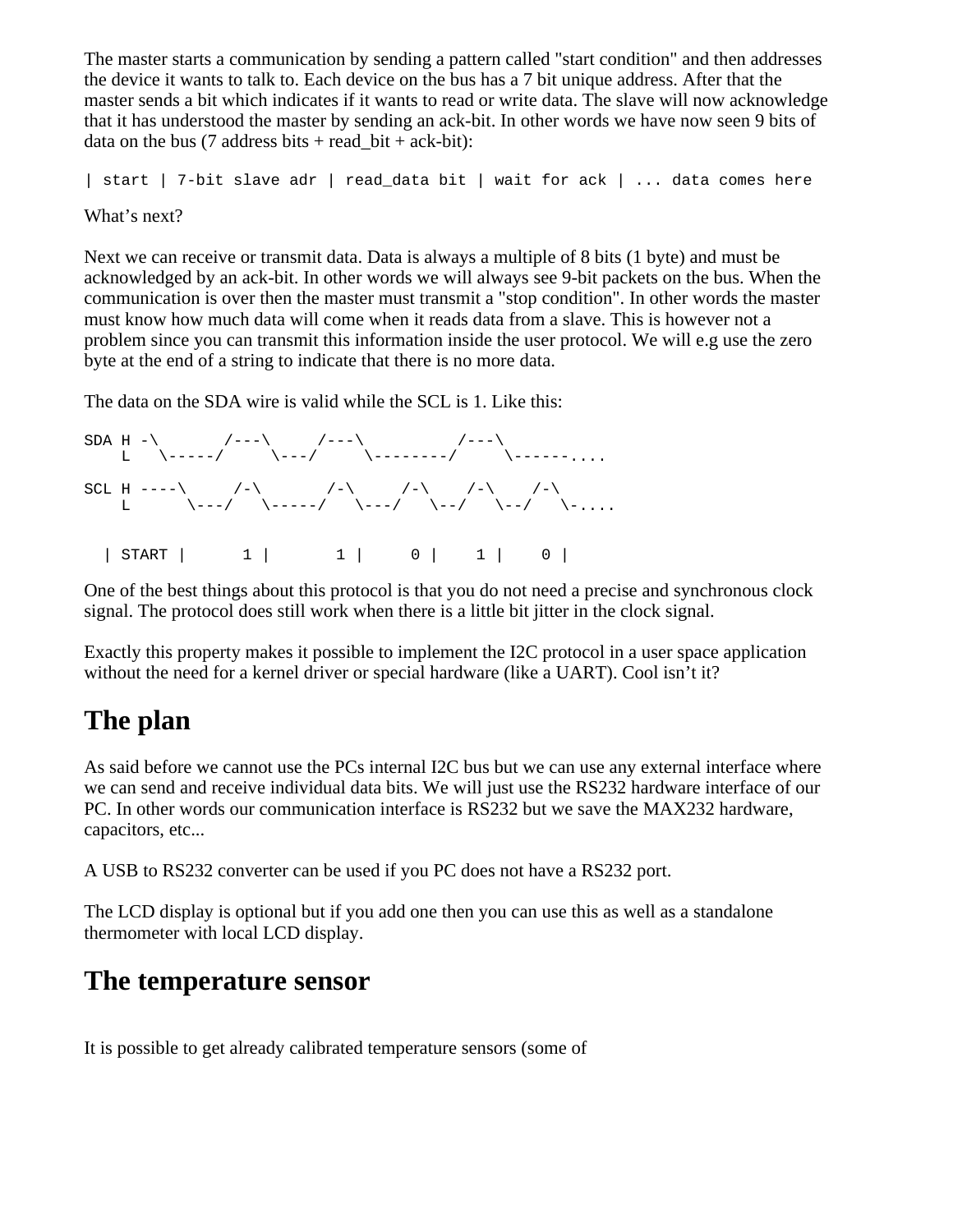The master starts a communication by sending a pattern called "start condition" and then addresses the device it wants to talk to. Each device on the bus has a 7 bit unique address. After that the master sends a bit which indicates if it wants to read or write data. The slave will now acknowledge that it has understood the master by sending an ack-bit. In other words we have now seen 9 bits of data on the bus (7 address bits + read\_bit + ack-bit):

```
| start | 7-bit slave adr | read_data bit | wait for ack | ... data comes here
```
What's next?

Next we can receive or transmit data. Data is always a multiple of 8 bits (1 byte) and must be acknowledged by an ack-bit. In other words we will always see 9-bit packets on the bus. When the communication is over then the master must transmit a "stop condition". In other words the master must know how much data will come when it reads data from a slave. This is however not a problem since you can transmit this information inside the user protocol. We will e.g use the zero byte at the end of a string to indicate that there is no more data.

The data on the SDA wire is valid while the SCL is 1. Like this:

```
SDA H -\ \qquad /---\ \qquad /---\ \qquad /---\
 L \-----/ \---/ \--------/ \------....
SCL H ----\ /-\rangle /-\rangle /-\rangle /-\rangle /-\rangle /-\rangleL \setminus---/ \setminus-----/ \setminus---/ \setminus--/ \setminus-....
 | START | 1 | 1 | 0 | 1 | 0 |
```
One of the best things about this protocol is that you do not need a precise and synchronous clock signal. The protocol does still work when there is a little bit jitter in the clock signal.

Exactly this property makes it possible to implement the I2C protocol in a user space application without the need for a kernel driver or special hardware (like a UART). Cool isn't it?

# **The plan**

As said before we cannot use the PCs internal I2C bus but we can use any external interface where we can send and receive individual data bits. We will just use the RS232 hardware interface of our PC. In other words our communication interface is RS232 but we save the MAX232 hardware, capacitors, etc...

A USB to RS232 converter can be used if you PC does not have a RS232 port.

The LCD display is optional but if you add one then you can use this as well as a standalone thermometer with local LCD display.

#### **The temperature sensor**

It is possible to get already calibrated temperature sensors (some of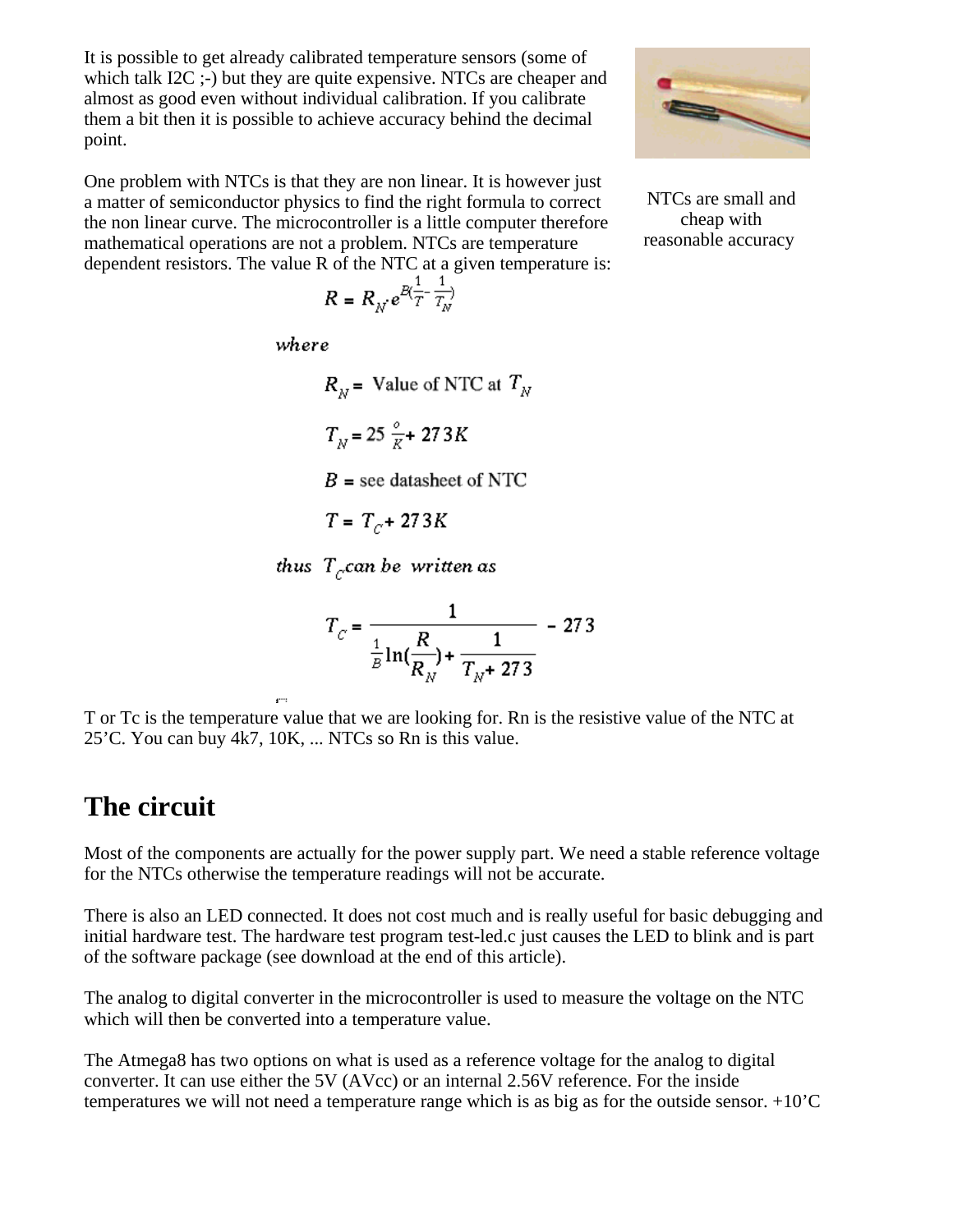It is possible to get already calibrated temperature sensors (some of which talk I2C ;-) but they are quite expensive. NTCs are cheaper and almost as good even without individual calibration. If you calibrate them a bit then it is possible to achieve accuracy behind the decimal point.

One problem with NTCs is that they are non linear. It is however just a matter of semiconductor physics to find the right formula to correct the non linear curve. The microcontroller is a little computer therefore mathematical operations are not a problem. NTCs are temperature dependent resistors. The value R of the NTC at a given temperature is:

$$
R = R_N e^{B(\frac{1}{T} - \frac{1}{T_N})}
$$

where

$$
R_N = \text{Value of NTC at } T_N
$$
\n
$$
T_N = 25 \frac{e}{K} + 273 K
$$
\n
$$
B = \text{see database of NTC}
$$
\n
$$
T = T_C + 273 K
$$

thus  $T_{c}$ can be written as

$$
T_C = \frac{1}{\frac{1}{B}\ln(\frac{R}{R_N}) + \frac{1}{T_N + 273}} - 273
$$

T or Tc is the temperature value that we are looking for. Rn is the resistive value of the NTC at 25'C. You can buy 4k7, 10K, ... NTCs so Rn is this value.

## **The circuit**

Most of the components are actually for the power supply part. We need a stable reference voltage for the NTCs otherwise the temperature readings will not be accurate.

There is also an LED connected. It does not cost much and is really useful for basic debugging and initial hardware test. The hardware test program test-led.c just causes the LED to blink and is part of the software package (see download at the end of this article).

The analog to digital converter in the microcontroller is used to measure the voltage on the NTC which will then be converted into a temperature value.

The Atmega8 has two options on what is used as a reference voltage for the analog to digital converter. It can use either the 5V (AVcc) or an internal 2.56V reference. For the inside temperatures we will not need a temperature range which is as big as for the outside sensor. +10'C



NTCs are small and cheap with reasonable accuracy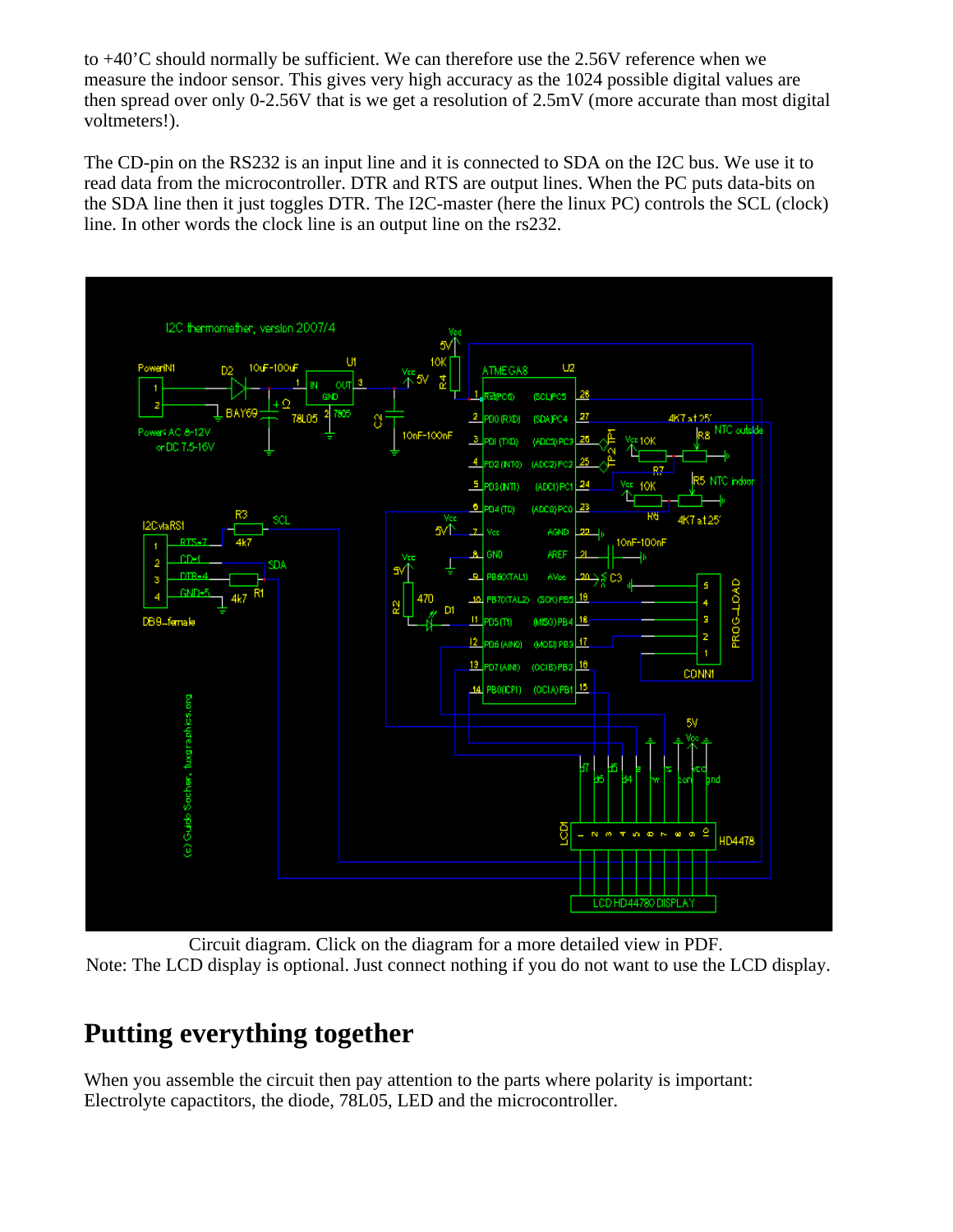to +40'C should normally be sufficient. We can therefore use the 2.56V reference when we measure the indoor sensor. This gives very high accuracy as the 1024 possible digital values are then spread over only 0-2.56V that is we get a resolution of 2.5mV (more accurate than most digital voltmeters!).

The CD-pin on the RS232 is an input line and it is connected to SDA on the I2C bus. We use it to read data from the microcontroller. DTR and RTS are output lines. When the PC puts data-bits on the SDA line then it just toggles DTR. The I2C-master (here the linux PC) controls the SCL (clock) line. In other words the clock line is an output line on the rs232.



Circuit diagram. Click on the diagram for a more detailed view in PDF. Note: The LCD display is optional. Just connect nothing if you do not want to use the LCD display.

# **Putting everything together**

When you assemble the circuit then pay attention to the parts where polarity is important: Electrolyte capactitors, the diode, 78L05, LED and the microcontroller.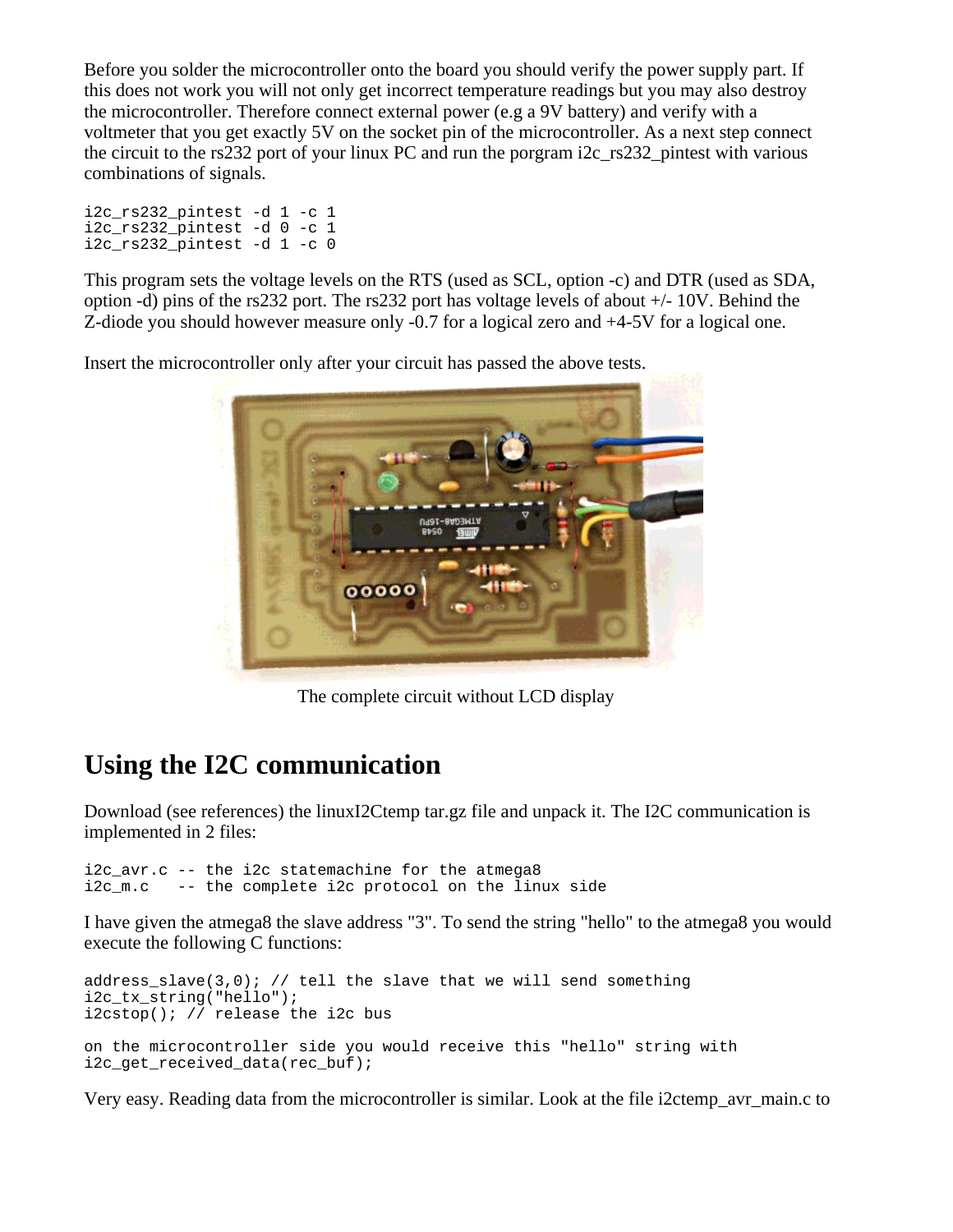Before you solder the microcontroller onto the board you should verify the power supply part. If this does not work you will not only get incorrect temperature readings but you may also destroy the microcontroller. Therefore connect external power (e.g a 9V battery) and verify with a voltmeter that you get exactly 5V on the socket pin of the microcontroller. As a next step connect the circuit to the rs232 port of your linux PC and run the porgram i2c\_rs232\_pintest with various combinations of signals.

i2c\_rs232\_pintest -d 1 -c 1 i2c\_rs232\_pintest -d 0 -c 1 i2c\_rs232\_pintest -d 1 -c 0

This program sets the voltage levels on the RTS (used as SCL, option -c) and DTR (used as SDA, option -d) pins of the rs232 port. The rs232 port has voltage levels of about +/- 10V. Behind the Z-diode you should however measure only -0.7 for a logical zero and +4-5V for a logical one.

Insert the microcontroller only after your circuit has passed the above tests.



The complete circuit without LCD display

# **Using the I2C communication**

Download (see references) the linuxI2Ctemp tar.gz file and unpack it. The I2C communication is implemented in 2 files:

i2c avr.c -- the i2c statemachine for the atmega8 i2c\_m.c -- the complete i2c protocol on the linux side

I have given the atmega8 the slave address "3". To send the string "hello" to the atmega8 you would execute the following C functions:

```
address_slave(3,0); // tell the slave that we will send something
i2c tx string("hello");
i2cstop(); // release the i2c bus
on the microcontroller side you would receive this "hello" string with
i2c get received data(rec buf);
```
Very easy. Reading data from the microcontroller is similar. Look at the file i2ctemp\_avr\_main.c to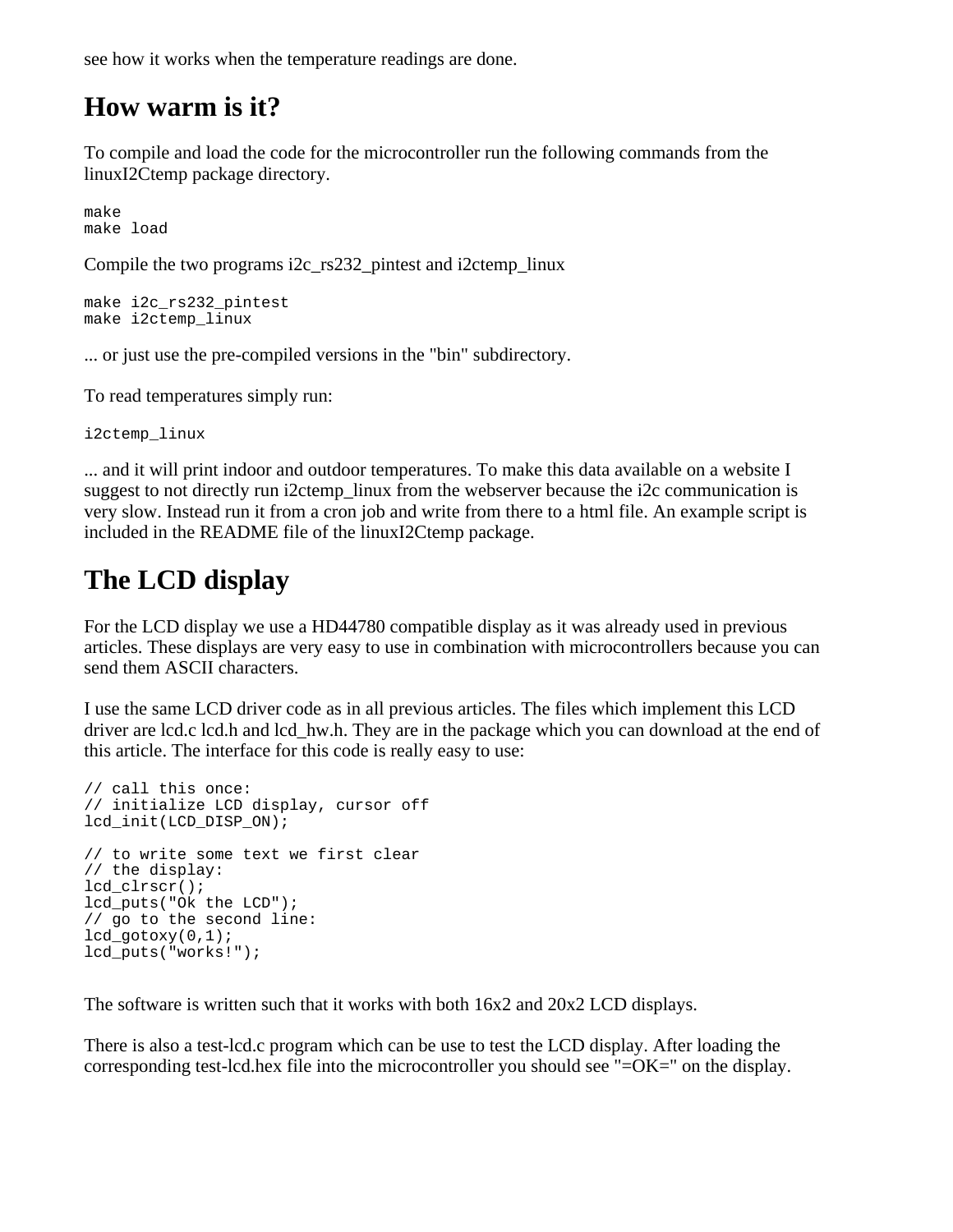see how it works when the temperature readings are done.

#### **How warm is it?**

To compile and load the code for the microcontroller run the following commands from the linuxI2Ctemp package directory.

make make load

Compile the two programs i2c\_rs232\_pintest and i2ctemp\_linux

```
make i2c_rs232_pintest
make i2ctemp_linux
```
... or just use the pre-compiled versions in the "bin" subdirectory.

To read temperatures simply run:

i2ctemp\_linux

... and it will print indoor and outdoor temperatures. To make this data available on a website I suggest to not directly run i2ctemp linux from the webserver because the i2c communication is very slow. Instead run it from a cron job and write from there to a html file. An example script is included in the README file of the linuxI2Ctemp package.

## **The LCD display**

For the LCD display we use a HD44780 compatible display as it was already used in previous articles. These displays are very easy to use in combination with microcontrollers because you can send them ASCII characters.

I use the same LCD driver code as in all previous articles. The files which implement this LCD driver are lcd.c lcd.h and lcd\_hw.h. They are in the package which you can download at the end of this article. The interface for this code is really easy to use:

```
// call this once:
// initialize LCD display, cursor off
lcd_init(LCD_DISP_ON);
// to write some text we first clear
// the display:
lcd clrscr();
lcd_puts("Ok the LCD");
// go to the second line:
ledgotoxy(0,1);lcd_puts("works!");
```
The software is written such that it works with both 16x2 and 20x2 LCD displays.

There is also a test-lcd.c program which can be use to test the LCD display. After loading the corresponding test-lcd.hex file into the microcontroller you should see "=OK=" on the display.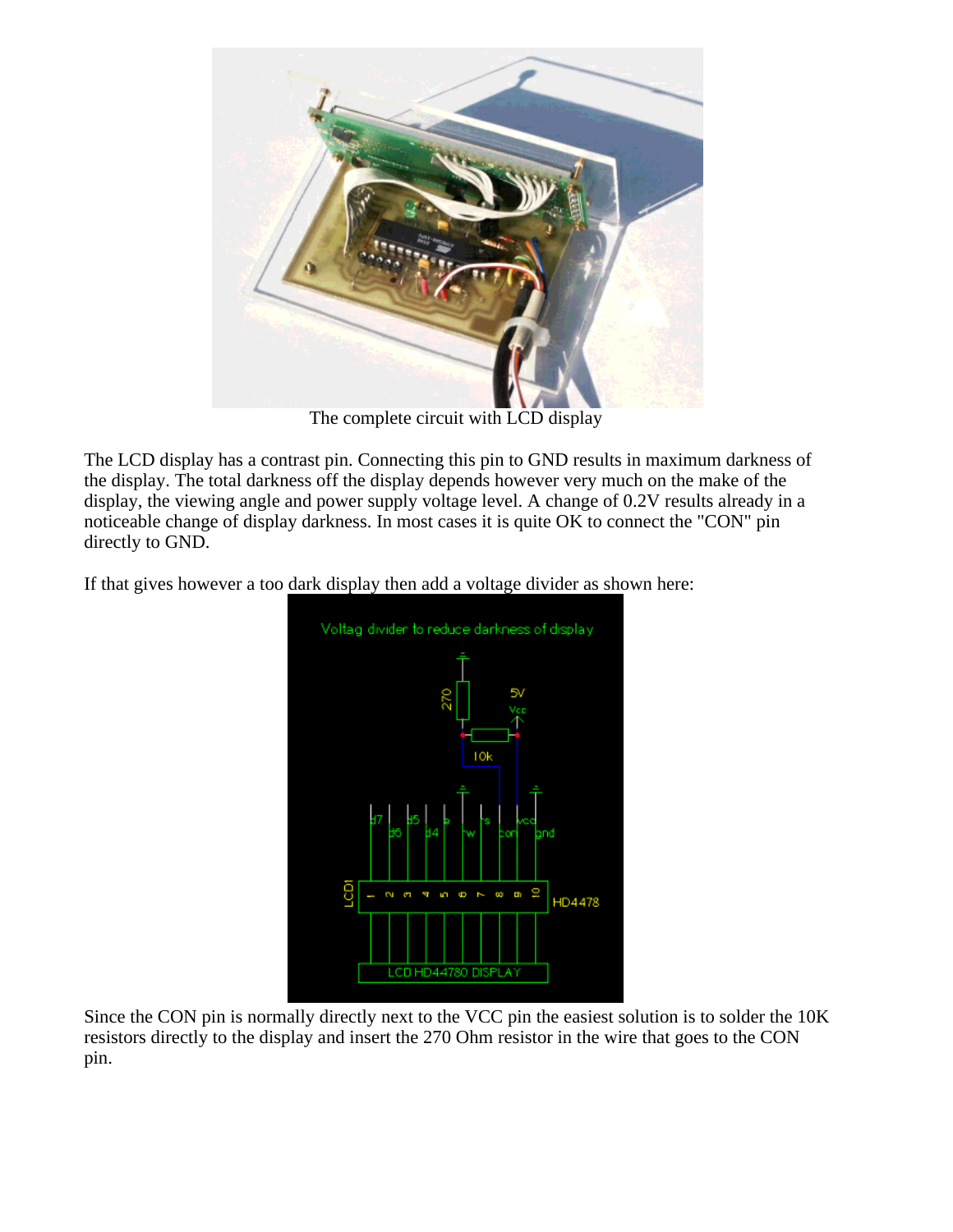

The complete circuit with LCD display

The LCD display has a contrast pin. Connecting this pin to GND results in maximum darkness of the display. The total darkness off the display depends however very much on the make of the display, the viewing angle and power supply voltage level. A change of 0.2V results already in a noticeable change of display darkness. In most cases it is quite OK to connect the "CON" pin directly to GND.

If that gives however a too dark display then add a voltage divider as shown here:



Since the CON pin is normally directly next to the VCC pin the easiest solution is to solder the 10K resistors directly to the display and insert the 270 Ohm resistor in the wire that goes to the CON pin.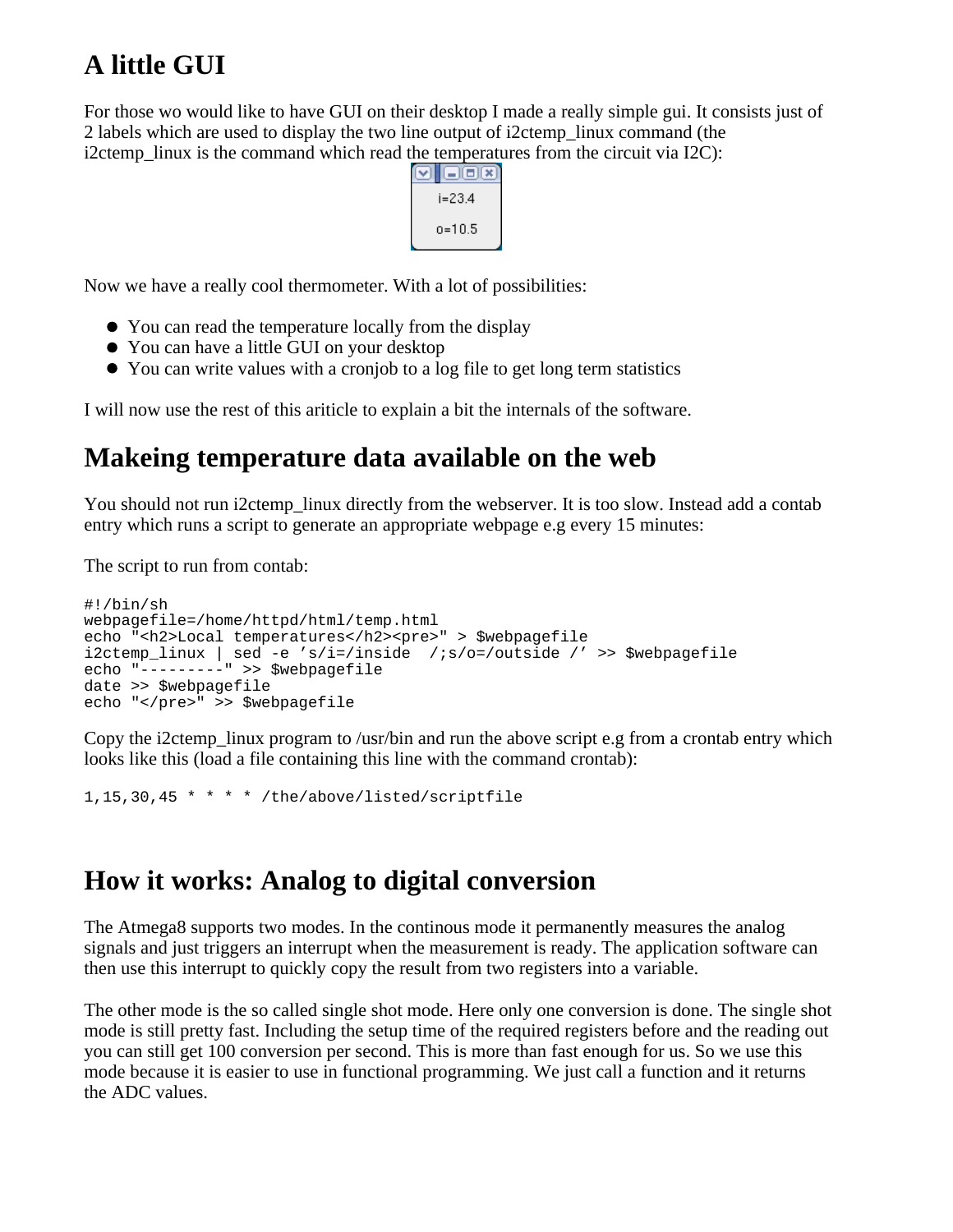# **A little GUI**

For those wo would like to have GUI on their desktop I made a really simple gui. It consists just of 2 labels which are used to display the two line output of i2ctemp\_linux command (the i2ctemp\_linux is the command which read the temperatures from the circuit via I2C):



Now we have a really cool thermometer. With a lot of possibilities:

- You can read the temperature locally from the display
- You can have a little GUI on your desktop
- You can write values with a cronjob to a log file to get long term statistics

I will now use the rest of this ariticle to explain a bit the internals of the software.

### **Makeing temperature data available on the web**

You should not run i2ctemp linux directly from the webserver. It is too slow. Instead add a contab entry which runs a script to generate an appropriate webpage e.g every 15 minutes:

The script to run from contab:

```
#!/bin/sh
webpagefile=/home/httpd/html/temp.html
echo "<h2>Local temperatures</h2><pre>" > $webpagefile
i2ctemp linux | sed -e 's/i=/inside /;s/o=/outside /' >> $webpagefile
echo "---------" >> $webpagefile
date >> $webpagefile
echo "</pre>" >> $webpagefile
```
Copy the i2ctemp linux program to /usr/bin and run the above script e.g from a crontab entry which looks like this (load a file containing this line with the command crontab):

1,15,30,45 \* \* \* \* /the/above/listed/scriptfile

### **How it works: Analog to digital conversion**

The Atmega8 supports two modes. In the continous mode it permanently measures the analog signals and just triggers an interrupt when the measurement is ready. The application software can then use this interrupt to quickly copy the result from two registers into a variable.

The other mode is the so called single shot mode. Here only one conversion is done. The single shot mode is still pretty fast. Including the setup time of the required registers before and the reading out you can still get 100 conversion per second. This is more than fast enough for us. So we use this mode because it is easier to use in functional programming. We just call a function and it returns the ADC values.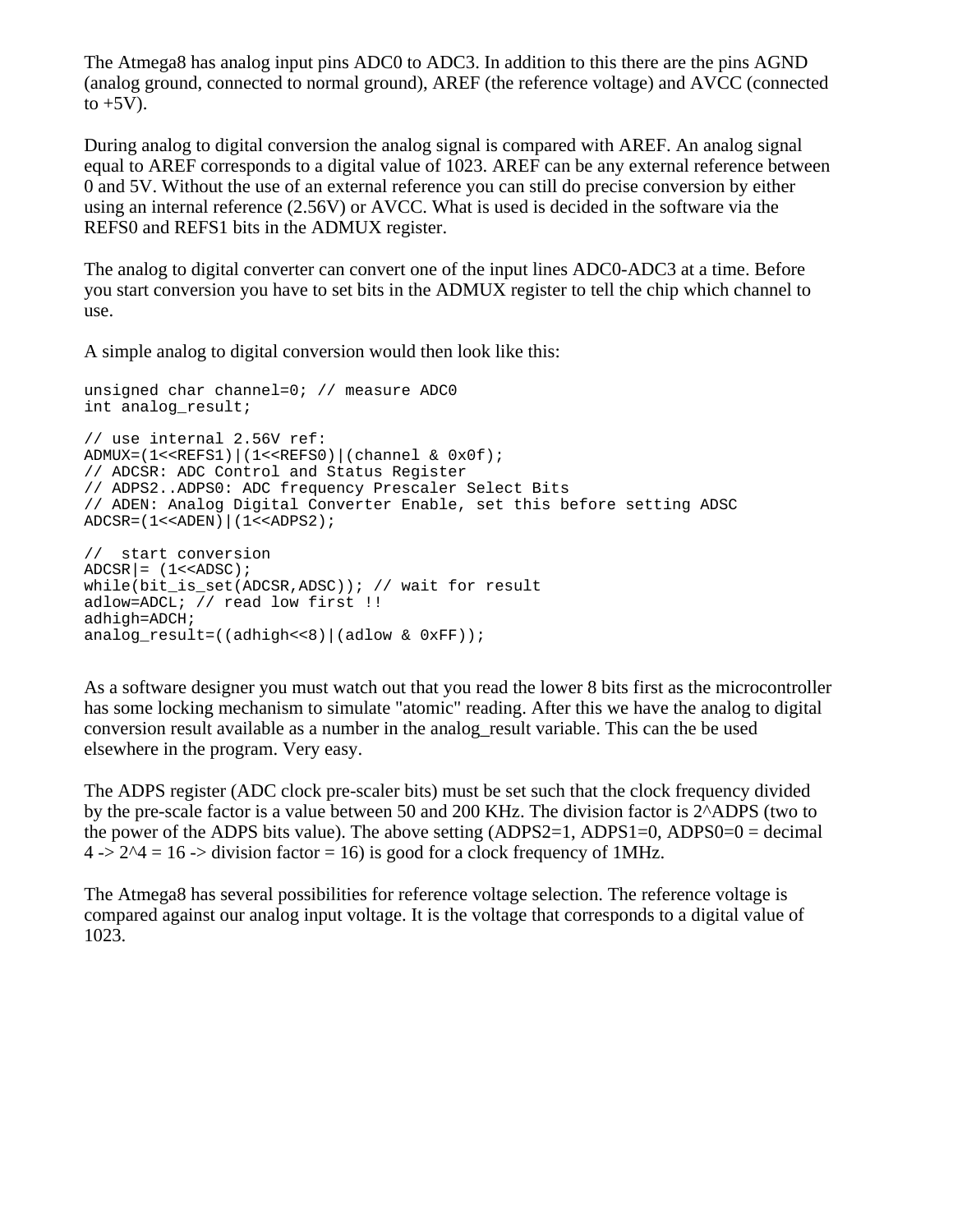The Atmega8 has analog input pins ADC0 to ADC3. In addition to this there are the pins AGND (analog ground, connected to normal ground), AREF (the reference voltage) and AVCC (connected to  $+5V$ ).

During analog to digital conversion the analog signal is compared with AREF. An analog signal equal to AREF corresponds to a digital value of 1023. AREF can be any external reference between 0 and 5V. Without the use of an external reference you can still do precise conversion by either using an internal reference (2.56V) or AVCC. What is used is decided in the software via the REFS0 and REFS1 bits in the ADMUX register.

The analog to digital converter can convert one of the input lines ADC0-ADC3 at a time. Before you start conversion you have to set bits in the ADMUX register to tell the chip which channel to use.

A simple analog to digital conversion would then look like this:

```
unsigned char channel=0; // measure ADC0
int analog_result;
// use internal 2.56V ref:
ADMUX=(1<<REFS1)|(1<<REFS0)|(channel & 0x0f);
// ADCSR: ADC Control and Status Register
// ADPS2..ADPS0: ADC frequency Prescaler Select Bits
// ADEN: Analog Digital Converter Enable, set this before setting ADSC
ADCSR=(1<<ADEN)|(1<<ADPS2);
// start conversion
\text{ADCSR} = (1\text{<<ADSC});
while(bit is set(ADCSR,ADSC)); // wait for result
adlow=ADCL; // read low first !!
adhigh=ADCH;
analog result=((adhigh<<8)|(adlow & 0xFF));
```
As a software designer you must watch out that you read the lower 8 bits first as the microcontroller has some locking mechanism to simulate "atomic" reading. After this we have the analog to digital conversion result available as a number in the analog\_result variable. This can the be used elsewhere in the program. Very easy.

The ADPS register (ADC clock pre-scaler bits) must be set such that the clock frequency divided by the pre-scale factor is a value between 50 and 200 KHz. The division factor is 2^ADPS (two to the power of the ADPS bits value). The above setting  $(ADPS2=1, ADPS1=0, ADPS0=0 = decimal$  $4 \rightarrow 2^4 = 16 \rightarrow$  division factor = 16) is good for a clock frequency of 1MHz.

The Atmega8 has several possibilities for reference voltage selection. The reference voltage is compared against our analog input voltage. It is the voltage that corresponds to a digital value of 1023.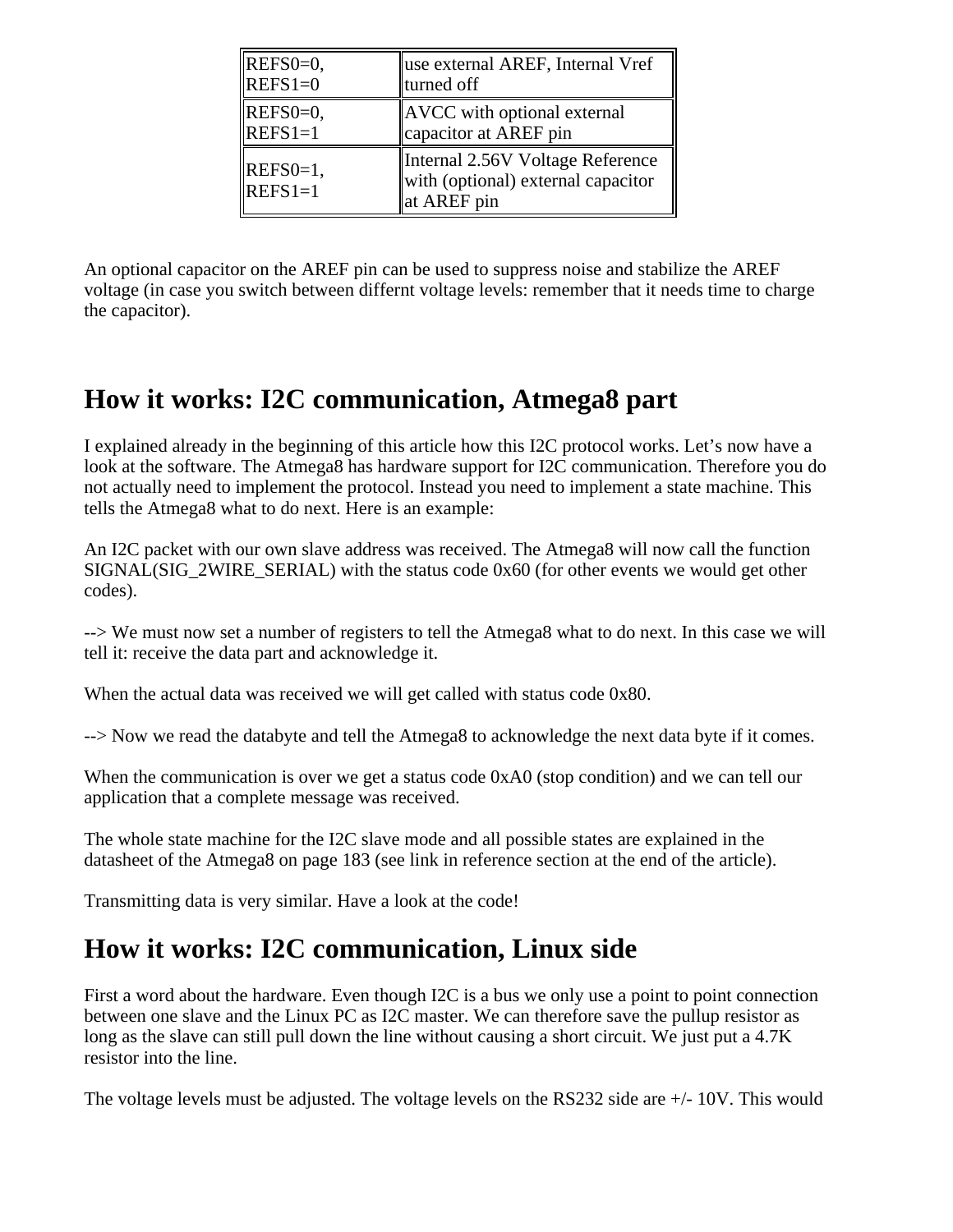| $REFS0=0$ ,             | use external AREF, Internal Vref                                                      |
|-------------------------|---------------------------------------------------------------------------------------|
| $REFS1=0$               | turned off                                                                            |
| $REFS0=0,$              | AVCC with optional external                                                           |
| $REFS1=1$               | capacitor at AREF pin                                                                 |
| $REFS0=1,$<br>$REFS1=1$ | Internal 2.56V Voltage Reference<br>with (optional) external capacitor<br>at AREF pin |

An optional capacitor on the AREF pin can be used to suppress noise and stabilize the AREF voltage (in case you switch between differnt voltage levels: remember that it needs time to charge the capacitor).

### **How it works: I2C communication, Atmega8 part**

I explained already in the beginning of this article how this I2C protocol works. Let's now have a look at the software. The Atmega8 has hardware support for I2C communication. Therefore you do not actually need to implement the protocol. Instead you need to implement a state machine. This tells the Atmega8 what to do next. Here is an example:

An I2C packet with our own slave address was received. The Atmega8 will now call the function  $SIGNAL(SIG 2WIRE  SERIAL)$  with the status code  $0x60$  (for other events we would get other codes).

--> We must now set a number of registers to tell the Atmega8 what to do next. In this case we will tell it: receive the data part and acknowledge it.

When the actual data was received we will get called with status code 0x80.

--> Now we read the databyte and tell the Atmega8 to acknowledge the next data byte if it comes.

When the communication is over we get a status code  $0xA0$  (stop condition) and we can tell our application that a complete message was received.

The whole state machine for the I2C slave mode and all possible states are explained in the datasheet of the Atmega8 on page 183 (see link in reference section at the end of the article).

Transmitting data is very similar. Have a look at the code!

### **How it works: I2C communication, Linux side**

First a word about the hardware. Even though I2C is a bus we only use a point to point connection between one slave and the Linux PC as I2C master. We can therefore save the pullup resistor as long as the slave can still pull down the line without causing a short circuit. We just put a 4.7K resistor into the line.

The voltage levels must be adjusted. The voltage levels on the RS232 side are +/- 10V. This would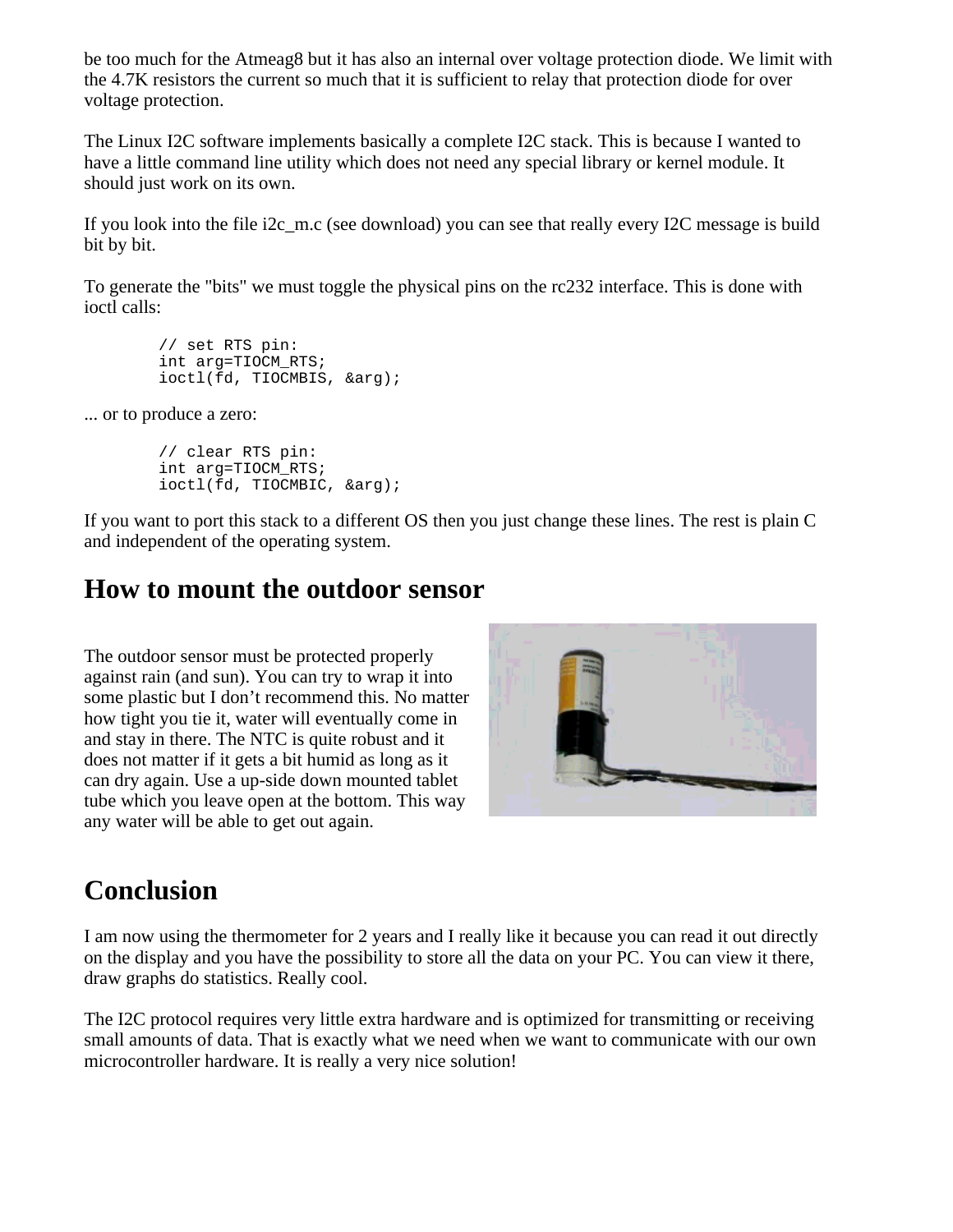be too much for the Atmeag8 but it has also an internal over voltage protection diode. We limit with the 4.7K resistors the current so much that it is sufficient to relay that protection diode for over voltage protection.

The Linux I2C software implements basically a complete I2C stack. This is because I wanted to have a little command line utility which does not need any special library or kernel module. It should just work on its own.

If you look into the file i2c\_m.c (see download) you can see that really every I2C message is build bit by bit.

To generate the "bits" we must toggle the physical pins on the rc232 interface. This is done with ioctl calls:

```
 // set RTS pin:
 int arg=TIOCM_RTS;
 ioctl(fd, TIOCMBIS, &arg);
```
... or to produce a zero:

 // clear RTS pin: int arg=TIOCM\_RTS; ioctl(fd, TIOCMBIC, &arg);

If you want to port this stack to a different OS then you just change these lines. The rest is plain C and independent of the operating system.

#### **How to mount the outdoor sensor**

The outdoor sensor must be protected properly against rain (and sun). You can try to wrap it into some plastic but I don't recommend this. No matter how tight you tie it, water will eventually come in and stay in there. The NTC is quite robust and it does not matter if it gets a bit humid as long as it can dry again. Use a up-side down mounted tablet tube which you leave open at the bottom. This way any water will be able to get out again.



## **Conclusion**

I am now using the thermometer for 2 years and I really like it because you can read it out directly on the display and you have the possibility to store all the data on your PC. You can view it there, draw graphs do statistics. Really cool.

The I2C protocol requires very little extra hardware and is optimized for transmitting or receiving small amounts of data. That is exactly what we need when we want to communicate with our own microcontroller hardware. It is really a very nice solution!